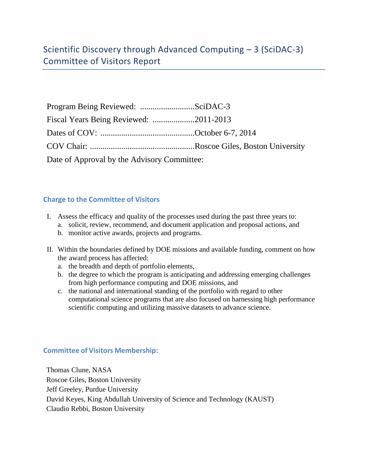| Date of Approval by the Advisory Committee: |  |
|---------------------------------------------|--|

## **Charge to the Committee of Visitors**

- I. Assess the efficacy and quality of the processes used during the past three years to:
	- a. solicit, review, recommend, and document application and proposal actions, and
	- b. monitor active awards, projects and programs.
- II. Within the boundaries defined by DOE missions and available funding, comment on how the award process has affected:
	- a. the breadth and depth of portfolio elements,
	- b. the degree to which the program is anticipating and addressing emerging challenges from high performance computing and DOE missions, and
	- c. the national and international standing of the portfolio with regard to other computational science programs that are also focused on harnessing high performance scientific computing and utilizing massive datasets to advance science.

## **Committee of Visitors Membership:**

Thomas Clune, NASA Roscoe Giles, Boston University Jeff Greeley, Purdue University David Keyes, King Abdullah University of Science and Technology (KAUST) Claudio Rebbi, Boston University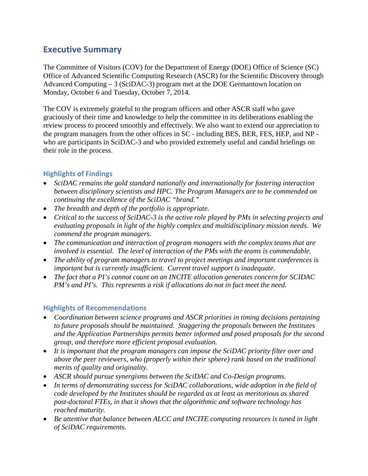## **Executive Summary**

The Committee of Visitors (COV) for the Department of Energy (DOE) Office of Science (SC) Office of Advanced Scientific Computing Research (ASCR) for the Scientific Discovery through Advanced Computing – 3 (SciDAC-3) program met at the DOE Germantown location on Monday, October 6 and Tuesday, October 7, 2014.

The COV is extremely grateful to the program officers and other ASCR staff who gave graciously of their time and knowledge to help the committee in its deliberations enabling the review process to proceed smoothly and effectively. We also want to extend our appreciation to the program managers from the other offices in SC - including BES, BER, FES, HEP, and NP who are participants in SciDAC-3 and who provided extremely useful and candid briefings on their role in the process.

## **Highlights of Findings**

- *SciDAC remains the gold standard nationally and internationally for fostering interaction between disciplinary scientists and HPC. The Program Managers are to be commended on continuing the excellence of the SciDAC "brand."*
- *The breadth and depth of the portfolio is appropriate.*
- *Critical to the success of SciDAC-3 is the active role played by PMs in selecting projects and evaluating proposals in light of the highly complex and multidisciplinary mission needs. We commend the program managers.*
- *The communication and interaction of program managers with the complex teams that are involved is essential. The level of interaction of the PMs with the teams is commendable.*
- *The ability of program managers to travel to project meetings and important conferences is important but is currently insufficient. Current travel support is inadequate.*
- *The fact that a PI's cannot count on an INCITE allocation generates concern for SCIDAC PM's and PI's. This represents a risk if allocations do not in fact meet the need.*

## **Highlights of Recommendations**

- *Coordination between science programs and ASCR priorities in timing decisions pertaining to future proposals should be maintained. Staggering the proposals between the Institutes and the Application Partnerships permits better informed and posed proposals for the second group, and therefore more efficient proposal evaluation.*
- *It is important that the program managers can impose the SciDAC priority filter over and above the peer reviewers, who (properly within their sphere) rank based on the traditional merits of quality and originality.*
- ASCR should pursue synergisms between the SciDAC and Co-Design programs.
- *In terms of demonstrating success for SciDAC collaborations, wide adoption in the field of code developed by the Institutes should be regarded as at least as meritorious as shared post-doctoral FTEs, in that it shows that the algorithmic and software technology has reached maturity.*
- *Be attentive that balance between ALCC and INCITE computing resources is tuned in light of SciDAC requirements.*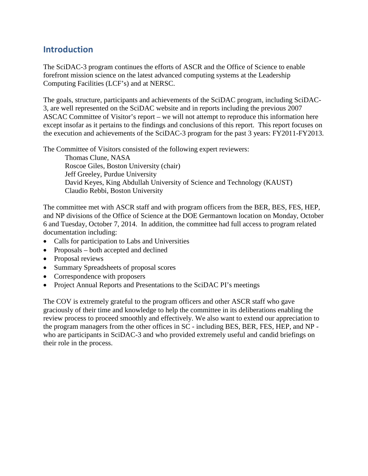## **Introduction**

The SciDAC-3 program continues the efforts of ASCR and the Office of Science to enable forefront mission science on the latest advanced computing systems at the Leadership Computing Facilities (LCF's) and at NERSC.

The goals, structure, participants and achievements of the SciDAC program, including SciDAC-3, are well represented on the SciDAC website and in reports including the previous 2007 ASCAC Committee of Visitor's report – we will not attempt to reproduce this information here except insofar as it pertains to the findings and conclusions of this report. This report focuses on the execution and achievements of the SciDAC-3 program for the past 3 years: FY2011-FY2013.

The Committee of Visitors consisted of the following expert reviewers:

Thomas Clune, NASA Roscoe Giles, Boston University (chair) Jeff Greeley, Purdue University David Keyes, King Abdullah University of Science and Technology (KAUST) Claudio Rebbi, Boston University

The committee met with ASCR staff and with program officers from the BER, BES, FES, HEP, and NP divisions of the Office of Science at the DOE Germantown location on Monday, October 6 and Tuesday, October 7, 2014. In addition, the committee had full access to program related documentation including:

- Calls for participation to Labs and Universities
- Proposals both accepted and declined
- Proposal reviews
- Summary Spreadsheets of proposal scores
- Correspondence with proposers
- Project Annual Reports and Presentations to the SciDAC PI's meetings

The COV is extremely grateful to the program officers and other ASCR staff who gave graciously of their time and knowledge to help the committee in its deliberations enabling the review process to proceed smoothly and effectively. We also want to extend our appreciation to the program managers from the other offices in SC - including BES, BER, FES, HEP, and NP who are participants in SciDAC-3 and who provided extremely useful and candid briefings on their role in the process.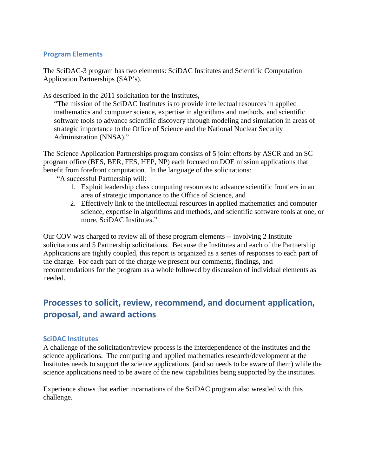## **Program Elements**

The SciDAC-3 program has two elements: SciDAC Institutes and Scientific Computation Application Partnerships (SAP's).

As described in the 2011 solicitation for the Institutes,

"The mission of the SciDAC Institutes is to provide intellectual resources in applied mathematics and computer science, expertise in algorithms and methods, and scientific software tools to advance scientific discovery through modeling and simulation in areas of strategic importance to the Office of Science and the National Nuclear Security Administration (NNSA)."

The Science Application Partnerships program consists of 5 joint efforts by ASCR and an SC program office (BES, BER, FES, HEP, NP) each focused on DOE mission applications that benefit from forefront computation. In the language of the solicitations:

"A successful Partnership will:

- 1. Exploit leadership class computing resources to advance scientific frontiers in an area of strategic importance to the Office of Science, and
- 2. Effectively link to the intellectual resources in applied mathematics and computer science, expertise in algorithms and methods, and scientific software tools at one, or more, SciDAC Institutes."

Our COV was charged to review all of these program elements -- involving 2 Institute solicitations and 5 Partnership solicitations. Because the Institutes and each of the Partnership Applications are tightly coupled, this report is organized as a series of responses to each part of the charge. For each part of the charge we present our comments, findings, and recommendations for the program as a whole followed by discussion of individual elements as needed.

# **Processes to solicit, review, recommend, and document application, proposal, and award actions**

## **SciDAC Institutes**

A challenge of the solicitation/review process is the interdependence of the institutes and the science applications. The computing and applied mathematics research/development at the Institutes needs to support the science applications (and so needs to be aware of them) while the science applications need to be aware of the new capabilities being supported by the institutes.

Experience shows that earlier incarnations of the SciDAC program also wrestled with this challenge.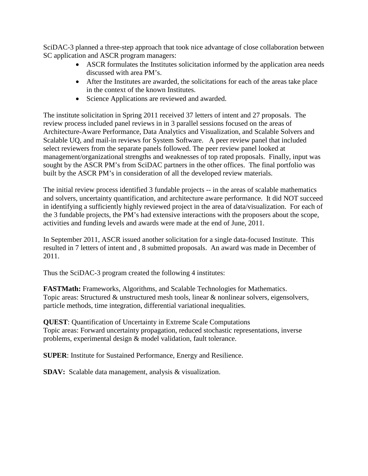SciDAC-3 planned a three-step approach that took nice advantage of close collaboration between SC application and ASCR program managers:

- ASCR formulates the Institutes solicitation informed by the application area needs discussed with area PM's.
- After the Institutes are awarded, the solicitations for each of the areas take place in the context of the known Institutes.
- Science Applications are reviewed and awarded.

The institute solicitation in Spring 2011 received 37 letters of intent and 27 proposals. The review process included panel reviews in in 3 parallel sessions focused on the areas of Architecture-Aware Performance, Data Analytics and Visualization, and Scalable Solvers and Scalable UQ, and mail-in reviews for System Software. A peer review panel that included select reviewers from the separate panels followed. The peer review panel looked at management/organizational strengths and weaknesses of top rated proposals. Finally, input was sought by the ASCR PM's from SciDAC partners in the other offices. The final portfolio was built by the ASCR PM's in consideration of all the developed review materials.

The initial review process identified 3 fundable projects -- in the areas of scalable mathematics and solvers, uncertainty quantification, and architecture aware performance. It did NOT succeed in identifying a sufficiently highly reviewed project in the area of data/visualization. For each of the 3 fundable projects, the PM's had extensive interactions with the proposers about the scope, activities and funding levels and awards were made at the end of June, 2011.

In September 2011, ASCR issued another solicitation for a single data-focused Institute. This resulted in 7 letters of intent and , 8 submitted proposals. An award was made in December of 2011.

Thus the SciDAC-3 program created the following 4 institutes:

**FASTMath:** Frameworks, Algorithms, and Scalable Technologies for Mathematics. Topic areas: Structured & unstructured mesh tools, linear & nonlinear solvers, eigensolvers, particle methods, time integration, differential variational inequalities.

**QUEST**: Quantification of Uncertainty in Extreme Scale Computations Topic areas: Forward uncertainty propagation, reduced stochastic representations, inverse problems, experimental design & model validation, fault tolerance.

**SUPER**: Institute for Sustained Performance, Energy and Resilience.

**SDAV:** Scalable data management, analysis & visualization.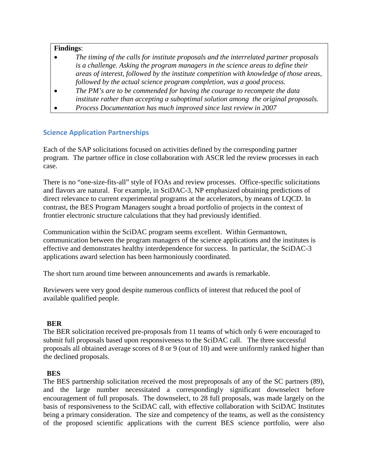#### **Findings**:

- *The timing of the calls for institute proposals and the interrelated partner proposals is a challenge. Asking the program managers in the science areas to define their areas of interest, followed by the institute competition with knowledge of those areas, followed by the actual science program completion, was a good process.*
- *The PM's are to be commended for having the courage to recompete the data institute rather than accepting a suboptimal solution among the original proposals.*
- *Process Documentation has much improved since last review in 2007*

## **Science Application Partnerships**

Each of the SAP solicitations focused on activities defined by the corresponding partner program. The partner office in close collaboration with ASCR led the review processes in each case.

There is no "one-size-fits-all" style of FOAs and review processes. Office-specific solicitations and flavors are natural. For example, in SciDAC-3, NP emphasized obtaining predictions of direct relevance to current experimental programs at the accelerators, by means of LQCD. In contrast, the BES Program Managers sought a broad portfolio of projects in the context of frontier electronic structure calculations that they had previously identified.

Communication within the SciDAC program seems excellent. Within Germantown, communication between the program managers of the science applications and the institutes is effective and demonstrates healthy interdependence for success. In particular, the SciDAC-3 applications award selection has been harmoniously coordinated.

The short turn around time between announcements and awards is remarkable.

Reviewers were very good despite numerous conflicts of interest that reduced the pool of available qualified people.

#### **BER**

The BER solicitation received pre-proposals from 11 teams of which only 6 were encouraged to submit full proposals based upon responsiveness to the SciDAC call. The three successful proposals all obtained average scores of 8 or 9 (out of 10) and were uniformly ranked higher than the declined proposals.

### **BES**

The BES partnership solicitation received the most preproposals of any of the SC partners (89), and the large number necessitated a correspondingly significant downselect before encouragement of full proposals. The downselect, to 28 full proposals, was made largely on the basis of responsiveness to the SciDAC call, with effective collaboration with SciDAC Institutes being a primary consideration. The size and competency of the teams, as well as the consistency of the proposed scientific applications with the current BES science portfolio, were also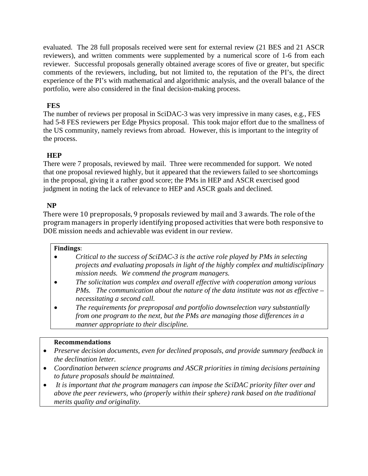evaluated. The 28 full proposals received were sent for external review (21 BES and 21 ASCR reviewers), and written comments were supplemented by a numerical score of 1-6 from each reviewer. Successful proposals generally obtained average scores of five or greater, but specific comments of the reviewers, including, but not limited to, the reputation of the PI's, the direct experience of the PI's with mathematical and algorithmic analysis, and the overall balance of the portfolio, were also considered in the final decision-making process.

## **FES**

The number of reviews per proposal in SciDAC-3 was very impressive in many cases, e.g., FES had 5-8 FES reviewers per Edge Physics proposal. This took major effort due to the smallness of the US community, namely reviews from abroad. However, this is important to the integrity of the process.

## **HEP**

There were 7 proposals, reviewed by mail. Three were recommended for support. We noted that one proposal reviewed highly, but it appeared that the reviewers failed to see shortcomings in the proposal, giving it a rather good score; the PMs in HEP and ASCR exercised good judgment in noting the lack of relevance to HEP and ASCR goals and declined.

## **NP**

There were 10 preproposals, 9 proposals reviewed by mail and 3 awards. The role of the program managers in properly identifying proposed activities that were both responsive to DOE mission needs and achievable was evident in our review.

### **Findings**:

- *Critical to the success of SciDAC-3 is the active role played by PMs in selecting projects and evaluating proposals in light of the highly complex and multidisciplinary mission needs. We commend the program managers.*
- *The solicitation was complex and overall effective with cooperation among various PMs. The communication about the nature of the data institute was not as effective – necessitating a second call.*
- *The requirements for preproposal and portfolio downselection vary substantially from one program to the next, but the PMs are managing those differences in a manner appropriate to their discipline.*

### **Recommendations**

- *Preserve decision documents, even for declined proposals, and provide summary feedback in the declination letter.*
- *Coordination between science programs and ASCR priorities in timing decisions pertaining to future proposals should be maintained.*
- *It is important that the program managers can impose the SciDAC priority filter over and above the peer reviewers, who (properly within their sphere) rank based on the traditional merits quality and originality.*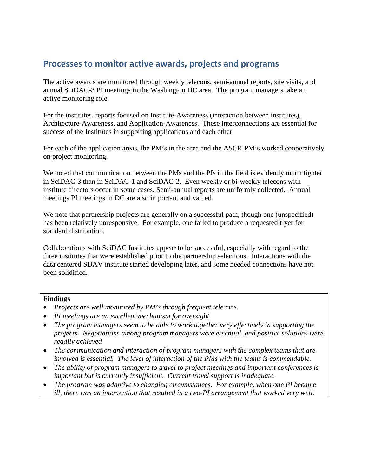## **Processes to monitor active awards, projects and programs**

The active awards are monitored through weekly telecons, semi-annual reports, site visits, and annual SciDAC-3 PI meetings in the Washington DC area. The program managers take an active monitoring role.

For the institutes, reports focused on Institute-Awareness (interaction between institutes), Architecture-Awareness, and Application-Awareness. These interconnections are essential for success of the Institutes in supporting applications and each other.

For each of the application areas, the PM's in the area and the ASCR PM's worked cooperatively on project monitoring.

We noted that communication between the PMs and the PIs in the field is evidently much tighter in SciDAC-3 than in SciDAC-1 and SciDAC-2. Even weekly or bi-weekly telecons with institute directors occur in some cases. Semi-annual reports are uniformly collected. Annual meetings PI meetings in DC are also important and valued.

We note that partnership projects are generally on a successful path, though one (unspecified) has been relatively unresponsive. For example, one failed to produce a requested flyer for standard distribution.

Collaborations with SciDAC Institutes appear to be successful, especially with regard to the three institutes that were established prior to the partnership selections. Interactions with the data centered SDAV institute started developing later, and some needed connections have not been solidified.

#### **Findings**

- *Projects are well monitored by PM's through frequent telecons.*
- *PI meetings are an excellent mechanism for oversight.*
- *The program managers seem to be able to work together very effectively in supporting the projects. Negotiations among program managers were essential, and positive solutions were readily achieved*
- *The communication and interaction of program managers with the complex teams that are involved is essential. The level of interaction of the PMs with the teams is commendable.*
- *The ability of program managers to travel to project meetings and important conferences is important but is currently insufficient. Current travel support is inadequate.*
- *The program was adaptive to changing circumstances. For example, when one PI became ill, there was an intervention that resulted in a two-PI arrangement that worked very well.*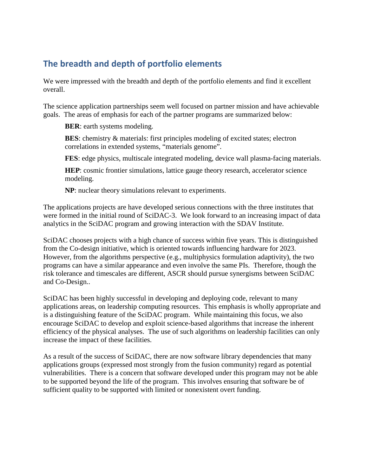# **The breadth and depth of portfolio elements**

We were impressed with the breadth and depth of the portfolio elements and find it excellent overall.

The science application partnerships seem well focused on partner mission and have achievable goals. The areas of emphasis for each of the partner programs are summarized below:

**BER**: earth systems modeling.

**BES**: chemistry & materials: first principles modeling of excited states; electron correlations in extended systems, "materials genome".

**FES**: edge physics, multiscale integrated modeling, device wall plasma-facing materials.

**HEP**: cosmic frontier simulations, lattice gauge theory research, accelerator science modeling.

**NP**: nuclear theory simulations relevant to experiments.

The applications projects are have developed serious connections with the three institutes that were formed in the initial round of SciDAC-3. We look forward to an increasing impact of data analytics in the SciDAC program and growing interaction with the SDAV Institute.

SciDAC chooses projects with a high chance of success within five years. This is distinguished from the Co-design initiative, which is oriented towards influencing hardware for 2023. However, from the algorithms perspective (e.g., multiphysics formulation adaptivity), the two programs can have a similar appearance and even involve the same PIs. Therefore, though the risk tolerance and timescales are different, ASCR should pursue synergisms between SciDAC and Co-Design..

SciDAC has been highly successful in developing and deploying code, relevant to many applications areas, on leadership computing resources. This emphasis is wholly appropriate and is a distinguishing feature of the SciDAC program. While maintaining this focus, we also encourage SciDAC to develop and exploit science-based algorithms that increase the inherent efficiency of the physical analyses. The use of such algorithms on leadership facilities can only increase the impact of these facilities.

As a result of the success of SciDAC, there are now software library dependencies that many applications groups (expressed most strongly from the fusion community) regard as potential vulnerabilities. There is a concern that software developed under this program may not be able to be supported beyond the life of the program. This involves ensuring that software be of sufficient quality to be supported with limited or nonexistent overt funding.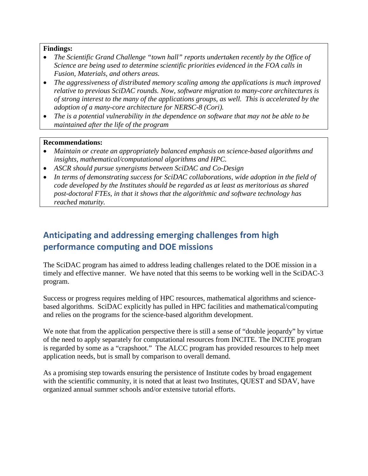#### **Findings:**

- *The Scientific Grand Challenge "town hall" reports undertaken recently by the Office of Science are being used to determine scientific priorities evidenced in the FOA calls in Fusion, Materials, and others areas.*
- *The aggressiveness of distributed memory scaling among the applications is much improved relative to previous SciDAC rounds. Now, software migration to many-core architectures is of strong interest to the many of the applications groups, as well. This is accelerated by the adoption of a many-core architecture for NERSC-8 (Cori).*
- *The is a potential vulnerability in the dependence on software that may not be able to be maintained after the life of the program*

### **Recommendations:**

- *Maintain or create an appropriately balanced emphasis on science-based algorithms and insights, mathematical/computational algorithms and HPC.*
- *ASCR should pursue synergisms between SciDAC and Co-Design*
- *In terms of demonstrating success for SciDAC collaborations, wide adoption in the field of code developed by the Institutes should be regarded as at least as meritorious as shared post-doctoral FTEs, in that it shows that the algorithmic and software technology has reached maturity.*

# **Anticipating and addressing emerging challenges from high performance computing and DOE missions**

The SciDAC program has aimed to address leading challenges related to the DOE mission in a timely and effective manner. We have noted that this seems to be working well in the SciDAC-3 program.

Success or progress requires melding of HPC resources, mathematical algorithms and sciencebased algorithms. SciDAC explicitly has pulled in HPC facilities and mathematical/computing and relies on the programs for the science-based algorithm development.

We note that from the application perspective there is still a sense of "double jeopardy" by virtue of the need to apply separately for computational resources from INCITE. The INCITE program is regarded by some as a "crapshoot." The ALCC program has provided resources to help meet application needs, but is small by comparison to overall demand.

As a promising step towards ensuring the persistence of Institute codes by broad engagement with the scientific community, it is noted that at least two Institutes, QUEST and SDAV, have organized annual summer schools and/or extensive tutorial efforts.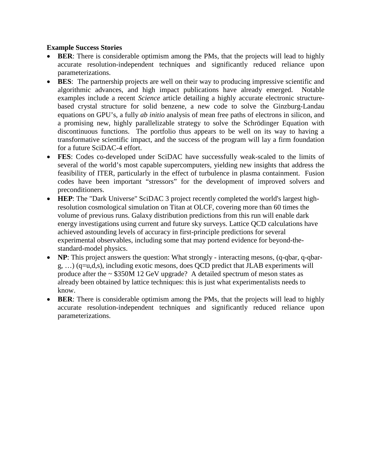## **Example Success Stories**

- **BER:** There is considerable optimism among the PMs, that the projects will lead to highly accurate resolution-independent techniques and significantly reduced reliance upon parameterizations.
- **BES**: The partnership projects are well on their way to producing impressive scientific and algorithmic advances, and high impact publications have already emerged. Notable examples include a recent *Science* article detailing a highly accurate electronic structurebased crystal structure for solid benzene, a new code to solve the Ginzburg-Landau equations on GPU's, a fully *ab initio* analysis of mean free paths of electrons in silicon, and a promising new, highly parallelizable strategy to solve the Schrödinger Equation with discontinuous functions. The portfolio thus appears to be well on its way to having a transformative scientific impact, and the success of the program will lay a firm foundation for a future SciDAC-4 effort.
- **FES**: Codes co-developed under SciDAC have successfully weak-scaled to the limits of several of the world's most capable supercomputers, yielding new insights that address the feasibility of ITER, particularly in the effect of turbulence in plasma containment. Fusion codes have been important "stressors" for the development of improved solvers and preconditioners.
- **HEP**: The "Dark Universe" SciDAC 3 project recently completed the world's largest highresolution cosmological simulation on Titan at OLCF, covering more than 60 times the volume of previous runs. Galaxy distribution predictions from this run will enable dark energy investigations using current and future sky surveys. Lattice QCD calculations have achieved astounding levels of accuracy in first-principle predictions for several experimental observables, including some that may portend evidence for beyond-thestandard-model physics.
- **NP**: This project answers the question: What strongly interacting mesons, (q-qbar, q-qbar $g, \ldots$ ) (q=u,d,s), including exotic mesons, does QCD predict that JLAB experiments will produce after the  $\sim$  \$350M 12 GeV upgrade? A detailed spectrum of meson states as already been obtained by lattice techniques: this is just what experimentalists needs to know.
- **BER:** There is considerable optimism among the PMs, that the projects will lead to highly accurate resolution-independent techniques and significantly reduced reliance upon parameterizations.